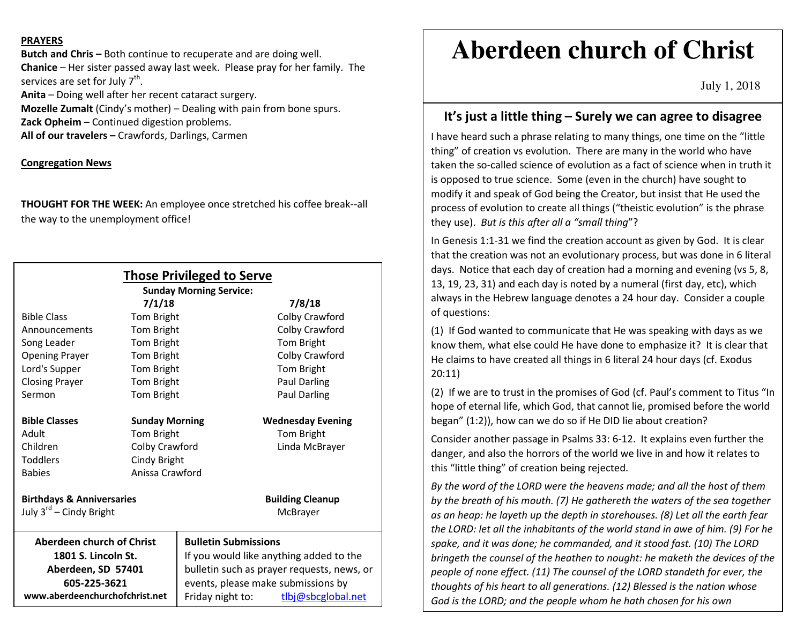## **PRAYERS**

**Butch and Chris –** Both continue to recuperate and are doing well. **Chanice** – Her sister passed away last week. Please pray for her family. The services are set for July  $7<sup>th</sup>$ .

**Anita** – Doing well after her recent cataract surgery. **Mozelle Zumalt** (Cindy's mother) – Dealing with pain from bone spurs.

**Zack Opheim** – Continued digestion problems.

**All of our travelers –** Crawfords, Darlings, Carmen

## **Congregation News**

**THOUGHT FOR THE WEEK:** An employee once stretched his coffee break--all the way to the unemployment office!

| <b>Those Privileged to Serve</b><br><b>Sunday Morning Service:</b> |                       |                                            |  |
|--------------------------------------------------------------------|-----------------------|--------------------------------------------|--|
| 7/1/18                                                             |                       | 7/8/18                                     |  |
| <b>Bible Class</b>                                                 | Tom Bright            | Colby Crawford                             |  |
| Announcements                                                      | Tom Bright            | Colby Crawford                             |  |
| Song Leader                                                        | Tom Bright            | Tom Bright                                 |  |
| <b>Opening Prayer</b>                                              | Tom Bright            | Colby Crawford                             |  |
| Lord's Supper                                                      | Tom Bright            | Tom Bright                                 |  |
| <b>Closing Prayer</b>                                              | Tom Bright            | Paul Darling                               |  |
| Sermon                                                             | Tom Bright            | Paul Darling                               |  |
| <b>Bible Classes</b>                                               | <b>Sunday Morning</b> | <b>Wednesday Evening</b>                   |  |
| Adult                                                              | Tom Bright            | Tom Bright                                 |  |
| Children                                                           | Colby Crawford        | Linda McBrayer                             |  |
| <b>Toddlers</b>                                                    | Cindy Bright          |                                            |  |
| <b>Babies</b>                                                      | Anissa Crawford       |                                            |  |
| <b>Birthdays &amp; Anniversaries</b>                               |                       | <b>Building Cleanup</b>                    |  |
| July 3 <sup>rd</sup> – Cindy Bright                                |                       | McBrayer                                   |  |
| <b>Aberdeen church of Christ</b>                                   |                       | <b>Bulletin Submissions</b>                |  |
| 1801 S. Lincoln St.                                                |                       | If you would like anything added to the    |  |
| Aberdeen, SD 57401                                                 |                       | bulletin such as prayer requests, news, or |  |
| 605-225-3621                                                       |                       | events, please make submissions by         |  |
| www.aberdeenchurchofchrist.net                                     |                       | tlbj@sbcglobal.net<br>Friday night to:     |  |

# **Aberdeen church of Christ**

July 1, 2018

# **It's just a little thing – Surely we can agree to disagree**

I have heard such a phrase relating to many things, one time on the "little thing" of creation vs evolution. There are many in the world who have taken the so-called science of evolution as a fact of science when in truth it is opposed to true science. Some (even in the church) have sought to modify it and speak of God being the Creator, but insist that He used the process of evolution to create all things ("theistic evolution" is the phrase they use). *But is this after all a "small thing*"?

In Genesis 1:1-31 we find the creation account as given by God. It is clear that the creation was not an evolutionary process, but was done in 6 literal days. Notice that each day of creation had a morning and evening (vs 5, 8, 13, 19, 23, 31) and each day is noted by a numeral (first day, etc), which always in the Hebrew language denotes a 24 hour day. Consider a couple of questions:

(1) If God wanted to communicate that He was speaking with days as we know them, what else could He have done to emphasize it? It is clear that He claims to have created all things in 6 literal 24 hour days (cf. Exodus 20:11)

(2) If we are to trust in the promises of God (cf. Paul's comment to Titus "In hope of eternal life, which God, that cannot lie, promised before the world began" (1:2)), how can we do so if He DID lie about creation?

Consider another passage in Psalms 33: 6-12. It explains even further the danger, and also the horrors of the world we live in and how it relates to this "little thing" of creation being rejected.

*By the word of the LORD were the heavens made; and all the host of them by the breath of his mouth. (7) He gathereth the waters of the sea together as an heap: he layeth up the depth in storehouses. (8) Let all the earth fear the LORD: let all the inhabitants of the world stand in awe of him. (9) For he spake, and it was done; he commanded, and it stood fast. (10) The LORD bringeth the counsel of the heathen to nought: he maketh the devices of the people of none effect. (11) The counsel of the LORD standeth for ever, the thoughts of his heart to all generations. (12) Blessed is the nation whose God is the LORD; and the people whom he hath chosen for his own*